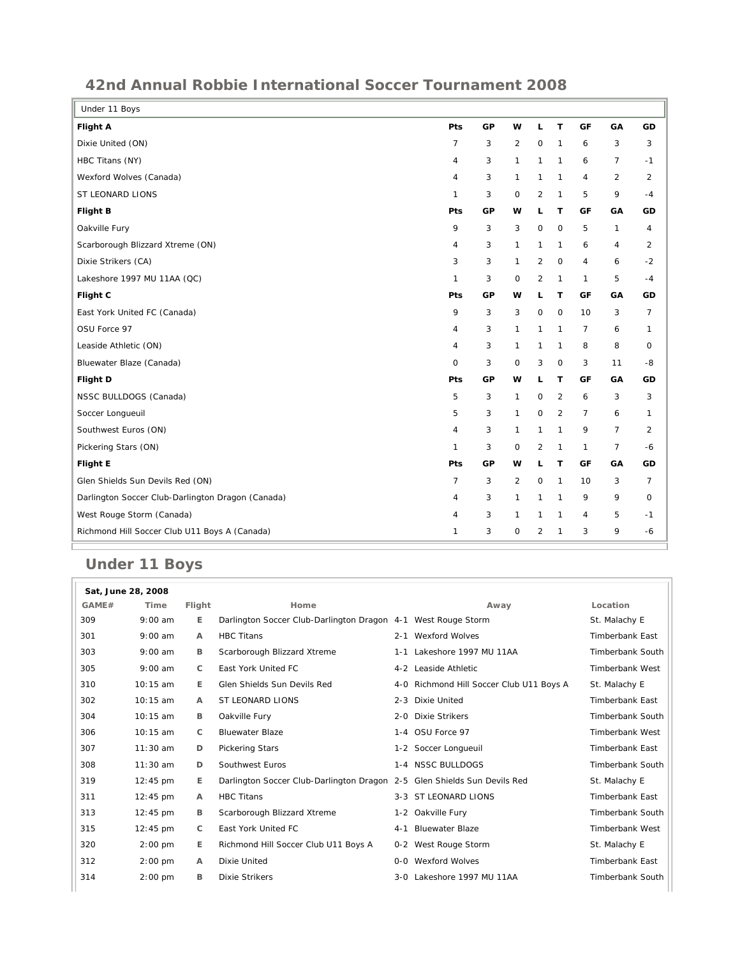## **42nd Annual Robbie International Soccer Tournament 2008**

| Under 11 Boys                                     |                |    |              |                |                |                |                |                |
|---------------------------------------------------|----------------|----|--------------|----------------|----------------|----------------|----------------|----------------|
| <b>Flight A</b>                                   | Pts            | GP | w            | L              | T              | GF             | GA             | GD             |
| Dixie United (ON)                                 | $\overline{7}$ | 3  | 2            | 0              | 1              | 6              | 3              | 3              |
| HBC Titans (NY)                                   | 4              | 3  | $\mathbf{1}$ | 1              | 1              | 6              | $\overline{7}$ | $-1$           |
| Wexford Wolves (Canada)                           | $\overline{4}$ | 3  | $\mathbf{1}$ | $\mathbf{1}$   | 1              | $\overline{4}$ | 2              | 2              |
| ST LEONARD LIONS                                  | $\mathbf{1}$   | 3  | $\mathsf O$  | $\overline{2}$ | $\mathbf{1}$   | 5              | 9              | $-4$           |
| Flight B                                          | Pts            | GP | w            | г              | T              | GF             | GA             | GD             |
| Oakville Fury                                     | 9              | 3  | 3            | $\mathbf 0$    | $\mathbf 0$    | 5              | $\mathbf{1}$   | 4              |
| Scarborough Blizzard Xtreme (ON)                  | $\overline{4}$ | 3  | $\mathbf{1}$ | 1              | 1              | 6              | $\overline{4}$ | 2              |
| Dixie Strikers (CA)                               | 3              | 3  | $\mathbf{1}$ | $\overline{2}$ | $\mathbf 0$    | $\sqrt{4}$     | 6              | $-2$           |
| Lakeshore 1997 MU 11AA (QC)                       | 1              | 3  | 0            | $\overline{2}$ | $\mathbf{1}$   | 1              | 5              | $-4$           |
| Flight C                                          | Pts            | GP | w            | L              | T              | GF             | GA             | GD             |
| East York United FC (Canada)                      | 9              | 3  | 3            | $\mathbf 0$    | $\mathbf 0$    | 10             | 3              | $\overline{7}$ |
| OSU Force 97                                      | 4              | 3  | $\mathbf{1}$ | 1              | 1              | $\overline{7}$ | 6              | $\mathbf{1}$   |
| Leaside Athletic (ON)                             | 4              | 3  | $\mathbf{1}$ | 1              | 1              | 8              | 8              | $\mathbf 0$    |
| Bluewater Blaze (Canada)                          | $\mathbf 0$    | 3  | 0            | 3              | $\mathbf 0$    | 3              | 11             | -8             |
| Flight D                                          | Pts            | GP | w            | L              | T              | GF             | GA             | GD             |
| NSSC BULLDOGS (Canada)                            | 5              | 3  | 1            | $\mathsf{O}$   | $\overline{2}$ | 6              | 3              | 3              |
| Soccer Longueuil                                  | 5              | 3  | $\mathbf{1}$ | $\mathbf 0$    | $\overline{2}$ | $\overline{7}$ | 6              | $\mathbf{1}$   |
| Southwest Euros (ON)                              | 4              | 3  | $\mathbf{1}$ | 1              | $\mathbf{1}$   | 9              | $\overline{7}$ | $\overline{2}$ |
| Pickering Stars (ON)                              | $\mathbf{1}$   | 3  | 0            | 2              | 1              | $\mathbf{1}$   | $\overline{7}$ | -6             |
| <b>Flight E</b>                                   | Pts            | GP | w            | П              | т              | GF             | GA             | GD             |
| Glen Shields Sun Devils Red (ON)                  | $\overline{7}$ | 3  | 2            | $\mathsf{O}$   | 1              | 10             | 3              | $\overline{7}$ |
| Darlington Soccer Club-Darlington Dragon (Canada) | 4              | 3  | $\mathbf{1}$ | $\mathbf{1}$   | $\mathbf{1}$   | 9              | 9              | $\mathbf 0$    |
| West Rouge Storm (Canada)                         | 4              | 3  | $\mathbf{1}$ | 1              | 1              | $\sqrt{4}$     | 5              | $-1$           |
| Richmond Hill Soccer Club U11 Boys A (Canada)     | $\mathbf{1}$   | 3  | 0            | 2              | 1              | 3              | 9              | -6             |

## **Under 11 Boys**

|       | Sat, June 28, 2008 |              |                                                                          |         |                                          |                         |
|-------|--------------------|--------------|--------------------------------------------------------------------------|---------|------------------------------------------|-------------------------|
| GAME# | Time               | Flight       | Home                                                                     |         | Away                                     | Location                |
| 309   | $9:00$ am          | Е            | Darlington Soccer Club-Darlington Dragon 4-1 West Rouge Storm            |         |                                          | St. Malachy E           |
| 301   | $9:00$ am          | $\mathsf{A}$ | <b>HBC Titans</b>                                                        |         | 2-1 Wexford Wolves                       | <b>Timberbank East</b>  |
| 303   | $9:00$ am          | B            | Scarborough Blizzard Xtreme                                              |         | 1-1 Lakeshore 1997 MU 11AA               | <b>Timberbank South</b> |
| 305   | $9:00$ am          | C            | East York United FC                                                      |         | 4-2 Leaside Athletic                     | Timberbank West         |
| 310   | $10:15$ am         | E.           | Glen Shields Sun Devils Red                                              |         | 4-0 Richmond Hill Soccer Club U11 Boys A | St. Malachy E           |
| 302   | $10:15$ am         | $\mathsf{A}$ | <b>ST LEONARD LIONS</b>                                                  | $2 - 3$ | <b>Dixie United</b>                      | <b>Timberbank East</b>  |
| 304   | $10:15$ am         | B            | Oakville Fury                                                            | $2 - 0$ | <b>Dixie Strikers</b>                    | <b>Timberbank South</b> |
| 306   | $10:15$ am         | C            | <b>Bluewater Blaze</b>                                                   |         | 1-4 OSU Force 97                         | <b>Timberbank West</b>  |
| 307   | $11:30$ am         | D            | <b>Pickering Stars</b>                                                   |         | 1-2 Soccer Longueuil                     | <b>Timberbank East</b>  |
| 308   | $11:30$ am         | D            | Southwest Euros                                                          |         | 1-4 NSSC BULLDOGS                        | Timberbank South        |
| 319   | 12:45 pm           | E.           | Darlington Soccer Club-Darlington Dragon 2-5 Glen Shields Sun Devils Red |         |                                          | St. Malachy E           |
| 311   | $12:45$ pm         | $\mathsf{A}$ | <b>HBC Titans</b>                                                        |         | 3-3 ST LEONARD LIONS                     | <b>Timberbank East</b>  |
| 313   | $12:45$ pm         | B            | Scarborough Blizzard Xtreme                                              |         | 1-2 Oakville Fury                        | <b>Timberbank South</b> |
| 315   | $12:45$ pm         | C            | East York United FC                                                      | $4 - 1$ | <b>Bluewater Blaze</b>                   | <b>Timberbank West</b>  |
| 320   | $2:00$ pm          | E.           | Richmond Hill Soccer Club U11 Boys A                                     |         | 0-2 West Rouge Storm                     | St. Malachy E           |
| 312   | $2:00$ pm          | A            | Dixie United                                                             | 0-0     | <b>Wexford Wolves</b>                    | <b>Timberbank East</b>  |
| 314   | $2:00$ pm          | в            | <b>Dixie Strikers</b>                                                    | $3-0$   | Lakeshore 1997 MU 11AA                   | Timberbank South        |